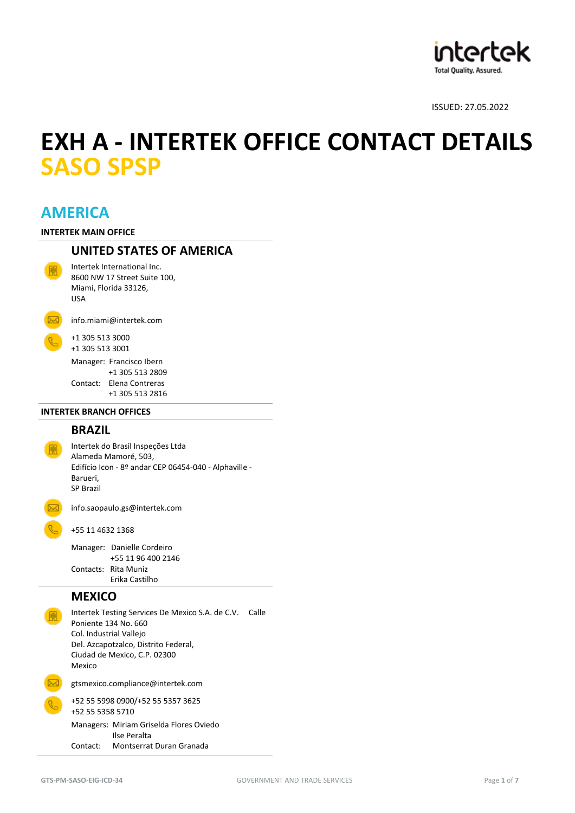

# **EXH A - INTERTEK OFFICE CONTACT DETAILS SASO SPSP**

# **AMERICA**

**INTERTEK MAIN OFFICE**

# **UNITED STATES OF AMERICA**

Intertek International Inc. 8600 NW 17 Street Suite 100, Miami, Florida 33126, USA



[info.miami@intertek.com](mailto:info.miami@intertek.com)

+1 305 513 3000 +1 305 513 3001

Manager: Francisco Ibern +1 305 513 2809 Contact: Elena Contreras +1 305 513 2816

#### **INTERTEK BRANCH OFFICES**

# **BRAZIL**

Intertek do Brasil Inspeções Ltda Alameda Mamoré, 503, Edifício Icon - 8º andar CEP 06454-040 - Alphaville - Barueri, SP Brazil

[info.saopaulo.gs@intertek.com](mailto:info.saopaulo.gs@intertek.com)

+55 11 4632 1368

Manager: Danielle Cordeiro +55 11 96 400 2146 Contacts: Rita Muniz Erika Castilho

# **MEXICO**

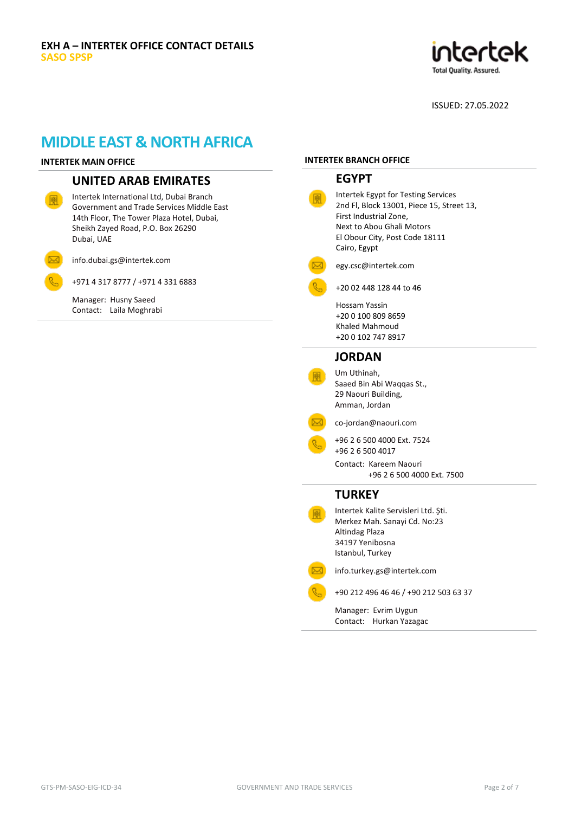

# **MIDDLE EAST & NORTH AFRICA**

#### **INTERTEK MAIN OFFICE**

# **UNITED ARAB EMIRATES**

Intertek International Ltd, Dubai Branch Government and Trade Services Middle East 14th Floor, The Tower Plaza Hotel, Dubai, Sheikh Zayed Road, P.O. Box 26290 Dubai, UAE

[info.dubai.gs@intertek.com](mailto:info.dubai.gs@intertek.com)

Manager: Husny Saeed Contact: Laila Moghrabi

+971 4 317 8777 / +971 4 331 6883

#### **INTERTEK BRANCH OFFICE**

# **EGYPT**

| Intertek Egypt for Testing Services<br>2nd Fl, Block 13001, Piece 15, Street 13,<br>First Industrial Zone,<br>Next to Abou Ghali Motors<br>El Obour City, Post Code 18111<br>Cairo, Egypt |
|-------------------------------------------------------------------------------------------------------------------------------------------------------------------------------------------|
| egy.csc@intertek.com                                                                                                                                                                      |
| +20 02 448 128 44 to 46                                                                                                                                                                   |
| Hossam Yassin<br>+20 0 100 809 8659<br>Khaled Mahmoud<br>+20 0 102 747 8917                                                                                                               |
| <b>JORDAN</b>                                                                                                                                                                             |
| Um Uthinah,<br>Saaed Bin Abi Waqqas St.,<br>29 Naouri Building,<br>Amman, Jordan                                                                                                          |
| co-jordan@naouri.com                                                                                                                                                                      |
| +96 2 6 500 4000 Ext. 7524<br>+96 2 6 500 4017<br>Contact: Kareem Naouri<br>+96 2 6 500 4000 Ext. 7500                                                                                    |
| <b>TURKEY</b>                                                                                                                                                                             |
| Intertek Kalite Servisleri Ltd. Şti.<br>Merkez Mah. Sanayi Cd. No:23<br>Altindag Plaza<br>34197 Yenibosna<br>Istanbul, Turkey                                                             |
| info.turkey.gs@intertek.com                                                                                                                                                               |
| +90 212 496 46 46 / +90 212 503 63 37                                                                                                                                                     |
| Manager: Evrim Uygun<br>Hurkan Yazagac<br>Contact:                                                                                                                                        |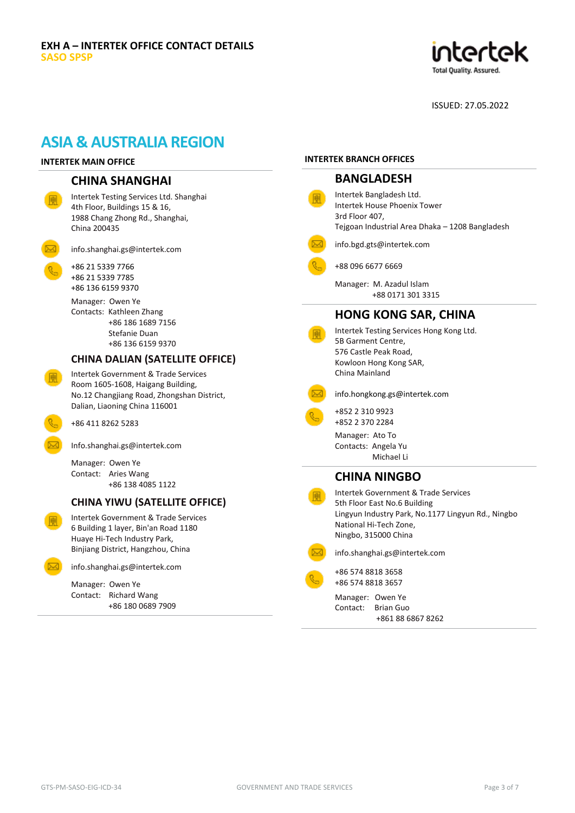

# **ASIA & AUSTRALIA REGION**

#### **INTERTEK MAIN OFFICE**

### **CHINA SHANGHAI**

Intertek Testing Services Ltd. Shanghai 4th Floor, Buildings 15 & 16, 1988 Chang Zhong Rd., Shanghai, China 200435

[info.shanghai.gs@intertek.com](mailto:info.shanghai.gs@intertek.com)

+86 21 5339 7766 +86 21 5339 7785 +86 136 6159 9370

> Manager: Owen Ye Contacts: Kathleen Zhang

 +86 186 1689 7156 Stefanie Duan +86 136 6159 9370

#### **CHINA DALIAN (SATELLITE OFFICE)**

Intertek Government & Trade Services Room 1605-1608, Haigang Building, No.12 Changjiang Road, Zhongshan District, Dalian, Liaoning China 116001

+86 411 8262 5283

[Info.shanghai.gs@intertek.com](mailto:Info.shanghai.gs@intertek.com)

Manager: Owen Ye Contact: Aries Wang +86 138 4085 1122

### **CHINA YIWU (SATELLITE OFFICE)**

Intertek Government & Trade Services 6 Building 1 layer, Bin'an Road 1180 Huaye Hi-Tech Industry Park, Binjiang District, Hangzhou, China

[info.shanghai.gs@intertek.com](mailto:info.shanghai.gs@intertek.com)

Manager: Owen Ye Contact: Richard Wang +86 180 0689 7909

#### **INTERTEK BRANCH OFFICES**

| INTERTEK BRANCH OFFICES                                                                                                                                                      |
|------------------------------------------------------------------------------------------------------------------------------------------------------------------------------|
| <b>BANGLADESH</b>                                                                                                                                                            |
| Intertek Bangladesh Ltd.<br>Intertek House Phoenix Tower<br>3rd Floor 407,<br>Tejgoan Industrial Area Dhaka - 1208 Bangladesh                                                |
| info.bgd.gts@intertek.com                                                                                                                                                    |
| +88 096 6677 6669                                                                                                                                                            |
| Manager: M. Azadul Islam<br>+88 0171 301 3315                                                                                                                                |
| <b>HONG KONG SAR, CHINA</b>                                                                                                                                                  |
| Intertek Testing Services Hong Kong Ltd.<br>5B Garment Centre,<br>576 Castle Peak Road,<br>Kowloon Hong Kong SAR,<br>China Mainland                                          |
| info.hongkong.gs@intertek.com                                                                                                                                                |
| +852 2 310 9923<br>+852 2 370 2284                                                                                                                                           |
| Manager: Ato To<br>Contacts: Angela Yu<br>Michael Li                                                                                                                         |
| <b>CHINA NINGBO</b>                                                                                                                                                          |
| Intertek Government & Trade Services<br>5th Floor East No.6 Building<br>Lingyun Industry Park, No.1177 Lingyun Rd., Ningbo<br>National Hi-Tech Zone,<br>Ningbo, 315000 China |
| info.shanghai.gs@intertek.com                                                                                                                                                |
| +86 574 8818 3658<br>+86 574 8818 3657                                                                                                                                       |
|                                                                                                                                                                              |

Manager: Owen Ye Contact: Brian Guo +861 88 6867 8262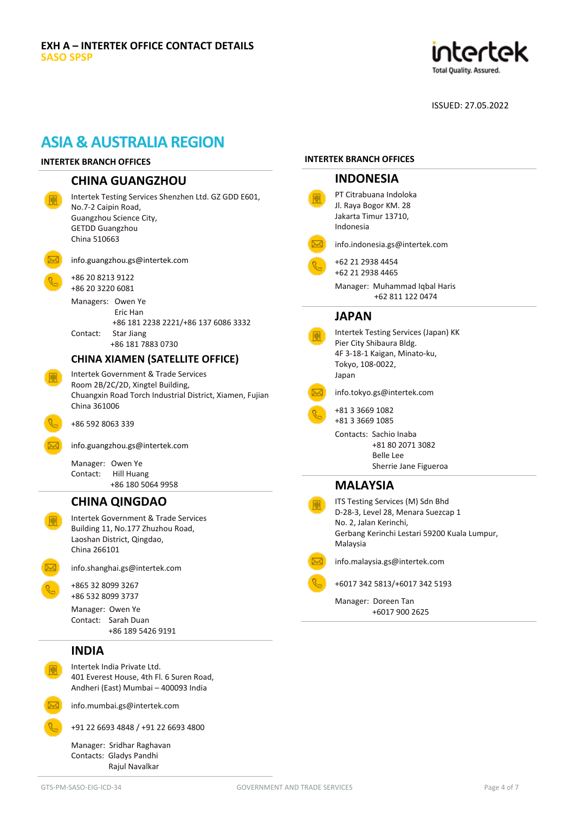

# **ASIA & AUSTRALIA REGION**

#### **INTERTEK BRANCH OFFICES**

#### **CHINA GUANGZHOU**

info.guangzhou.gs@intertek.com

Intertek Testing Services Shenzhen Ltd. GZ GDD E601, No.7-2 Caipin Road, Guangzhou Science City, GETDD Guangzhou China 510663



+86 20 8213 9122 +86 20 3220 6081

Managers: Owen Ye Eric Han +86 181 2238 2221/+86 137 6086 3332 Contact: Star Jiang +86 181 7883 0730

### **CHINA XIAMEN (SATELLITE OFFICE)**

Intertek Government & Trade Services Room 2B/2C/2D, Xingtel Building, Chuangxin Road Torch Industrial District, Xiamen, Fujian China 361006

+86 592 8063 339

[info.guangzhou.gs@intertek.com](mailto:info.guangzhou.gs@intertek.com)

Manager: Owen Ye Contact: Hill Huang +86 180 5064 9958

### **CHINA QINGDAO**

Intertek Government & Trade Services Building 11, No.177 Zhuzhou Road, Laoshan District, Qingdao, China 266101



[info.shanghai.gs@intertek.com](mailto:info.shanghai.gs@intertek.com)

+865 32 8099 3267 +86 532 8099 3737

Manager: Owen Ye Contact: Sarah Duan +86 189 5426 9191

### **INDIA**

Intertek India Private Ltd. 401 Everest House, 4th Fl. 6 Suren Road, Andheri (East) Mumbai – 400093 India

[info.mumbai.gs@intertek.com](mailto:info.mumbai.gs@intertek.com)

+91 22 6693 4848 / +91 22 6693 4800

Manager: Sridhar Raghavan Contacts: Gladys Pandhi Rajul Navalkar

#### **INTERTEK BRANCH OFFICES**

| <b>INDONESIA</b>                                                                                                                                             |
|--------------------------------------------------------------------------------------------------------------------------------------------------------------|
| PT Citrabuana Indoloka<br>Jl. Raya Bogor KM. 28<br>Jakarta Timur 13710,<br>Indonesia                                                                         |
| info.indonesia.gs@intertek.com                                                                                                                               |
| +62 21 2938 4454<br>+62 21 2938 4465<br>Manager: Muhammad Iqbal Haris<br>+62 811 122 0474                                                                    |
| <b>JAPAN</b>                                                                                                                                                 |
| Intertek Testing Services (Japan) KK<br>Pier City Shibaura Bldg.<br>4F 3-18-1 Kaigan, Minato-ku,<br>Tokyo, 108-0022,<br>Japan                                |
| info.tokyo.gs@intertek.com                                                                                                                                   |
| +81 3 3669 1082<br>+81 3 3669 1085<br>Contacts: Sachio Inaba<br>+81 80 2071 3082<br><b>Belle Lee</b><br>Sherrie Jane Figueroa                                |
| <b>MALAYSIA</b>                                                                                                                                              |
| ITS Testing Services (M) Sdn Bhd<br>D-28-3, Level 28, Menara Suezcap 1<br>No. 2, Jalan Kerinchi,<br>Gerbang Kerinchi Lestari 59200 Kuala Lumpur,<br>Malaysia |
| info.malaysia.gs@intertek.com                                                                                                                                |
| +6017 342 5813/+6017 342 5193                                                                                                                                |
| Manager: Doreen Tan<br>+6017 900 2625                                                                                                                        |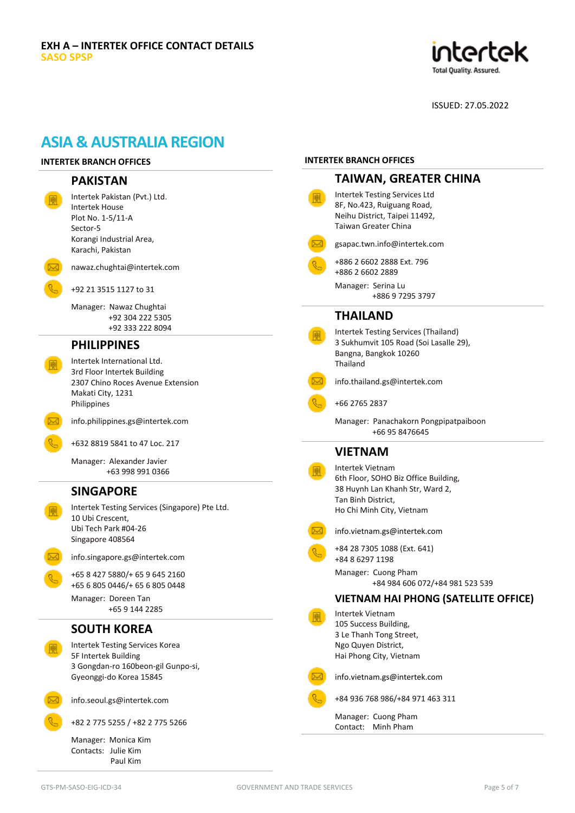

**INTERTEK BRANCH OFFICES**

# **ASIA & AUSTRALIA REGION**

# **INTERTEK BRANCH OFFICES**

| <b>PAKISTAN</b>                                                                               | <b>TAIWAN, GREATER CHINA</b>                                                                                                |
|-----------------------------------------------------------------------------------------------|-----------------------------------------------------------------------------------------------------------------------------|
| Intertek Pakistan (Pvt.) Ltd.<br><b>Intertek House</b><br>Plot No. 1-5/11-A<br>Sector-5       | Intertek Testing Services Ltd<br>8F, No.423, Ruiguang Road,<br>Neihu District, Taipei 11492,<br><b>Taiwan Greater China</b> |
| Korangi Industrial Area,<br>Karachi, Pakistan                                                 | gsapac.twn.info@intertek.com                                                                                                |
| nawaz.chughtai@intertek.com                                                                   | +886 2 6602 2888 Ext. 796<br>+886 2 6602 2889                                                                               |
| +92 21 3515 1127 to 31                                                                        | Manager: Serina Lu<br>+886 9 7295 3797                                                                                      |
| Manager: Nawaz Chughtai<br>+92 304 222 5305<br>+92 333 222 8094                               | <b>THAILAND</b><br>Intertek Testing Services (Thailand)                                                                     |
| <b>PHILIPPINES</b>                                                                            | 3 Sukhumvit 105 Road (Soi Lasalle 29),                                                                                      |
| Intertek International Ltd.                                                                   | Bangna, Bangkok 10260<br>Thailand                                                                                           |
| 3rd Floor Intertek Building<br>2307 Chino Roces Avenue Extension<br>Makati City, 1231         | info.thailand.gs@intertek.com                                                                                               |
| Philippines                                                                                   | +66 2765 2837                                                                                                               |
| info.philippines.gs@intertek.com                                                              | Manager: Panachakorn Pongpipatpaiboon<br>+66 95 8476645                                                                     |
| +632 8819 5841 to 47 Loc. 217                                                                 | <b>VIETNAM</b>                                                                                                              |
| Manager: Alexander Javier<br>+63 998 991 0366                                                 | <b>Intertek Vietnam</b><br>6th Floor, SOHO Biz Office Building,                                                             |
| <b>SINGAPORE</b>                                                                              | 38 Huynh Lan Khanh Str, Ward 2,                                                                                             |
| Intertek Testing Services (Singapore) Pte Ltd.<br>10 Ubi Crescent,                            | Tan Binh District,<br>Ho Chi Minh City, Vietnam                                                                             |
| Ubi Tech Park #04-26<br>Singapore 408564                                                      | info.vietnam.gs@intertek.com                                                                                                |
| info.singapore.gs@intertek.com                                                                | +84 28 7305 1088 (Ext. 641)<br>+84 8 6297 1198                                                                              |
| +65 8 427 5880/+ 65 9 645 2160<br>+65 6 805 0446/+ 65 6 805 0448                              | Manager: Cuong Pham<br>+84 984 606 072/+84 981 523 539                                                                      |
| Manager: Doreen Tan<br>+65 9 144 2285                                                         | <b>VIETNAM HAI PHONG (SATELLITE OFFICE)</b>                                                                                 |
| <b>SOUTH KOREA</b>                                                                            | Intertek Vietnam<br>105 Success Building,<br>3 Le Thanh Tong Street,                                                        |
| Intertek Testing Services Korea<br>5F Intertek Building<br>3 Gongdan-ro 160beon-gil Gunpo-si, | Ngo Quyen District,<br>Hai Phong City, Vietnam                                                                              |
| Gyeonggi-do Korea 15845                                                                       | info.vietnam.gs@intertek.com                                                                                                |
| info.seoul.gs@intertek.com                                                                    | +84 936 768 986/+84 971 463 311                                                                                             |
| +82 2 775 5255 / +82 2 775 5266                                                               | Manager: Cuong Pham<br>Contact: Minh Pham                                                                                   |
| Manager: Monica Kim<br>Contacts: Julie Kim                                                    |                                                                                                                             |

Paul Kim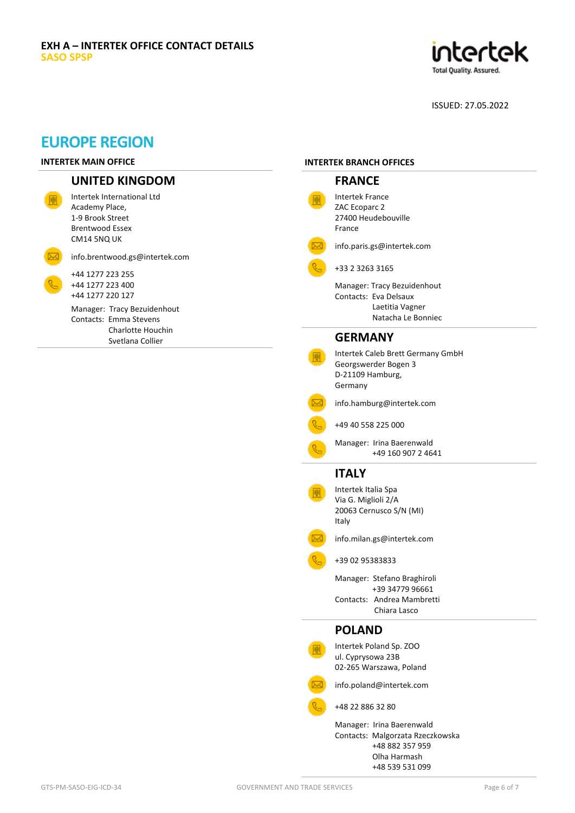

# **EUROPE REGION**

### **INTERTEK MAIN OFFICE**

# **UNITED KINGDOM**

| Intertek International I td<br>Academy Place,<br>1-9 Brook Street<br>Brentwood Essex<br>CM14 5NQ UK |
|-----------------------------------------------------------------------------------------------------|
| info.brentwood.gs@intertek.com                                                                      |
| +44 1277 223 255<br>+44 1277 223 400<br>+44 1277 220 127                                            |
| Manager: Tracy Bezuidenhout<br>Contacts: Emma Stevens<br>Charlotte Houchin<br>Svetlana Collier      |

### **INTERTEK BRANCH OFFICES**

| <b>FRANCE</b>                                                                                                       |
|---------------------------------------------------------------------------------------------------------------------|
| Intertek France<br>ZAC Ecoparc 2<br>27400 Heudebouville<br>France                                                   |
| info.paris.gs@intertek.com                                                                                          |
| +33 2 3263 3165                                                                                                     |
| Manager: Tracy Bezuidenhout<br>Contacts: Eva Delsaux<br>Laetitia Vagner<br>Natacha Le Bonniec                       |
| <b>GERMANY</b>                                                                                                      |
| Intertek Caleb Brett Germany GmbH<br>Georgswerder Bogen 3<br>D-21109 Hamburg,<br>Germany                            |
| info.hamburg@intertek.com                                                                                           |
| +49 40 558 225 000                                                                                                  |
| Manager: Irina Baerenwald<br>+49 160 907 2 4641                                                                     |
| <b>ITALY</b>                                                                                                        |
| Intertek Italia Spa<br>Via G. Miglioli 2/A<br>20063 Cernusco S/N (MI)<br>Italy                                      |
| info.milan.gs@intertek.com                                                                                          |
| +39 02 95383833                                                                                                     |
| Manager: Stefano Braghiroli<br>+39 34779 96661                                                                      |
| Contacts: Andrea Mambretti<br>Chiara Lasco                                                                          |
| <b>POLAND</b>                                                                                                       |
| Intertek Poland Sp. ZOO<br>ul. Cyprysowa 23B<br>02-265 Warszawa, Poland                                             |
| info.poland@intertek.com                                                                                            |
| +48 22 886 32 80                                                                                                    |
| Manager: Irina Baerenwald<br>Contacts: Malgorzata Rzeczkowska<br>+48 882 357 959<br>Olha Harmash<br>+48 539 531 099 |